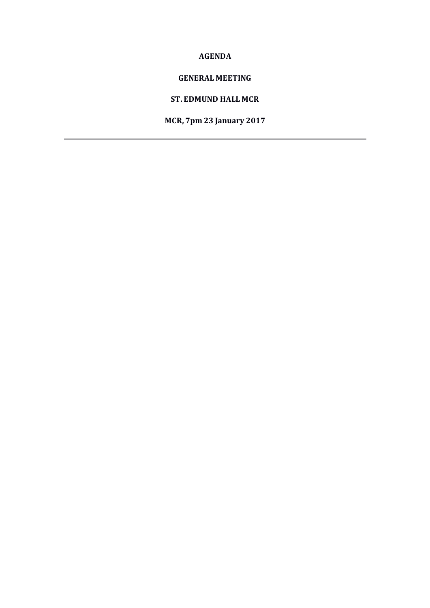### **AGENDA**

### **GENERAL MEETING**

### **ST. EDMUND HALL MCR**

**MCR, 7pm 23 January 2017**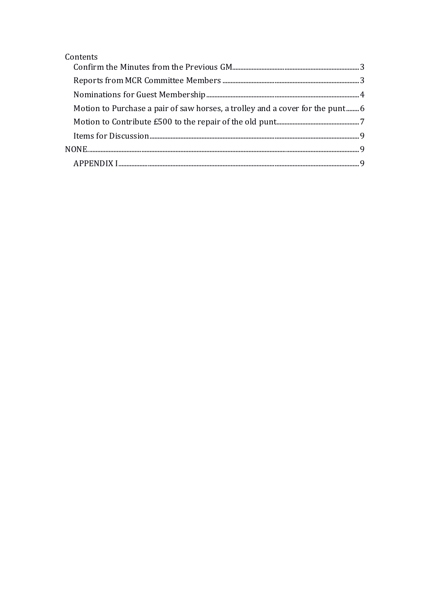| Contents                                                                      |  |
|-------------------------------------------------------------------------------|--|
|                                                                               |  |
|                                                                               |  |
|                                                                               |  |
| Motion to Purchase a pair of saw horses, a trolley and a cover for the punt 6 |  |
|                                                                               |  |
|                                                                               |  |
|                                                                               |  |
|                                                                               |  |
|                                                                               |  |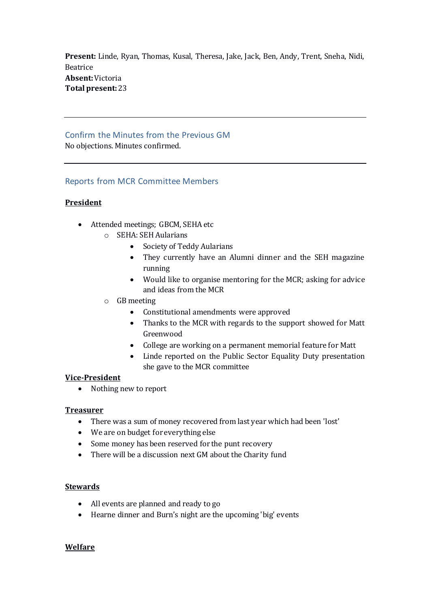**Present:** Linde, Ryan, Thomas, Kusal, Theresa, Jake, Jack, Ben, Andy, Trent, Sneha, Nidi, Beatrice **Absent:**Victoria **Total present:**23

#### <span id="page-2-0"></span>Confirm the Minutes from the Previous GM No objections. Minutes confirmed.

### <span id="page-2-1"></span>Reports from MCR Committee Members

### **President**

- Attended meetings; GBCM, SEHA etc
	- o SEHA: SEH Aularians
		- Society of Teddy Aularians
		- They currently have an Alumni dinner and the SEH magazine running
		- Would like to organise mentoring for the MCR; asking for advice and ideas from the MCR
	- o GB meeting
		- Constitutional amendments were approved
		- Thanks to the MCR with regards to the support showed for Matt Greenwood
		- College are working on a permanent memorial feature for Matt
		- Linde reported on the Public Sector Equality Duty presentation she gave to the MCR committee

#### **Vice-President**

• Nothing new to report

#### **Treasurer**

- There was a sum of money recovered from last year which had been 'lost'
- We are on budget for everything else
- Some money has been reserved for the punt recovery
- There will be a discussion next GM about the Charity fund

#### **Stewards**

- All events are planned and ready to go
- Hearne dinner and Burn's night are the upcoming 'big' events

#### **Welfare**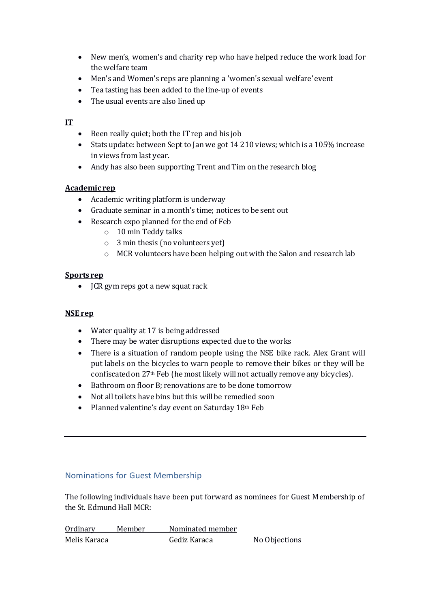- New men's, women's and charity rep who have helped reduce the work load for the welfare team
- Men's and Women's reps are planning a 'women's sexual welfare'event
- Tea tasting has been added to the line-up of events
- The usual events are also lined up

# **IT**

- Been really quiet; both the IT rep and his job
- Stats update: between Sept to Jan we got 14 210 views; which is a 105% increase in views from last year.
- Andy has also been supporting Trent and Tim on the research blog

# **Academic rep**

- Academic writing platform is underway
- Graduate seminar in a month's time; notices to be sent out
- Research expo planned for the end of Feb
	- o 10 min Teddy talks
	- o 3 min thesis (no volunteers yet)
	- o MCR volunteers have been helping out with the Salon and research lab

# **Sports rep**

• **JCR** gym reps got a new squat rack

# **NSE rep**

- Water quality at 17 is being addressed
- There may be water disruptions expected due to the works
- There is a situation of random people using the NSE bike rack. Alex Grant will put labels on the bicycles to warn people to remove their bikes or they will be confiscated on 27th Feb (he most likely will not actually remove any bicycles).
- Bathroom on floor B; renovations are to be done tomorrow
- Not all toilets have bins but this will be remedied soon
- Planned valentine's day event on Saturday  $18<sup>th</sup>$  Feb

# <span id="page-3-0"></span>Nominations for Guest Membership

The following individuals have been put forward as nominees for Guest Membership of the St. Edmund Hall MCR:

| Ordinary     | Member | Nominated member |               |
|--------------|--------|------------------|---------------|
| Melis Karaca |        | Gediz Karaca     | No Objections |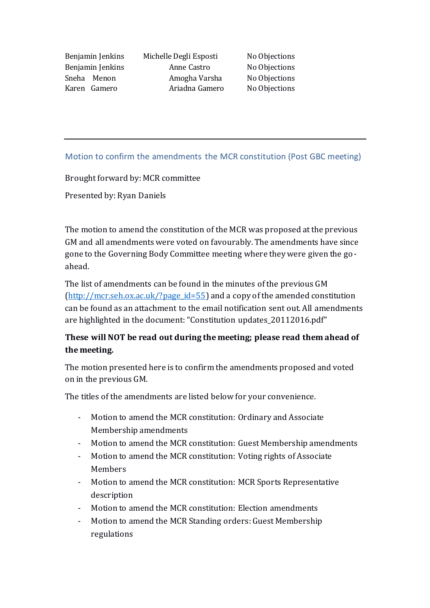Benjamin Jenkins Michelle Degli Esposti No Objections Benjamin Jenkins **Anne Castro** No Objections Sneha Menon Amogha Varsha No Objections Karen Gamero Ariadna Gamero No Objections

# Motion to confirm the amendments the MCR constitution (Post GBC meeting)

Brought forward by: MCR committee

Presented by: Ryan Daniels

The motion to amend the constitution of the MCR was proposed at the previous GM and all amendments were voted on favourably. The amendments have since gone to the Governing Body Committee meeting where they were given the goahead.

The list of amendments can be found in the minutes of the previous GM  $(\text{http://mcr.seh.ox.ac.uk//page id=55})$  and a copy of the amended constitution can be found as an attachment to the email notification sent out. All amendments are highlighted in the document: "Constitution updates\_20112016.pdf"

# **These will NOT be read out during the meeting; please read them ahead of the meeting.**

The motion presented here is to confirm the amendments proposed and voted on in the previous GM.

The titles of the amendments are listed below for your convenience.

- Motion to amend the MCR constitution: Ordinary and Associate Membership amendments
- Motion to amend the MCR constitution: Guest Membership amendments
- Motion to amend the MCR constitution: Voting rights of Associate Members
- Motion to amend the MCR constitution: MCR Sports Representative description
- Motion to amend the MCR constitution: Election amendments
- Motion to amend the MCR Standing orders: Guest Membership regulations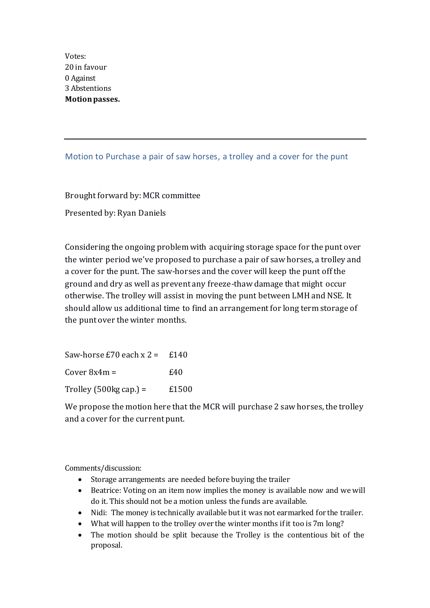Votes: 20 in favour 0 Against 3 Abstentions **Motion passes.**

### <span id="page-5-0"></span>Motion to Purchase a pair of saw horses, a trolley and a cover for the punt

Brought forward by: MCR committee

Presented by: Ryan Daniels

Considering the ongoing problem with acquiring storage space for the punt over the winter period we've proposed to purchase a pair of saw horses, a trolley and a cover for the punt. The saw-horses and the cover will keep the punt off the ground and dry as well as prevent any freeze-thaw damage that might occur otherwise. The trolley will assist in moving the punt between LMH and NSE. It should allow us additional time to find an arrangement for long term storage of the punt over the winter months.

Saw-horse  $E70$  each  $x = 2 = 140$  $Cover 8x4m =$   $£40$ Trolley  $(500\text{kg cap.}) = 1500$ 

We propose the motion here that the MCR will purchase 2 saw horses, the trolley and a cover for the current punt.

Comments/discussion:

- Storage arrangements are needed before buying the trailer
- Beatrice: Voting on an item now implies the money is available now and we will do it. This should not be a motion unless the funds are available.
- Nidi: The money is technically available but it was not earmarked for the trailer.
- What will happen to the trolley over the winter months if it too is 7m long?
- The motion should be split because the Trolley is the contentious bit of the proposal.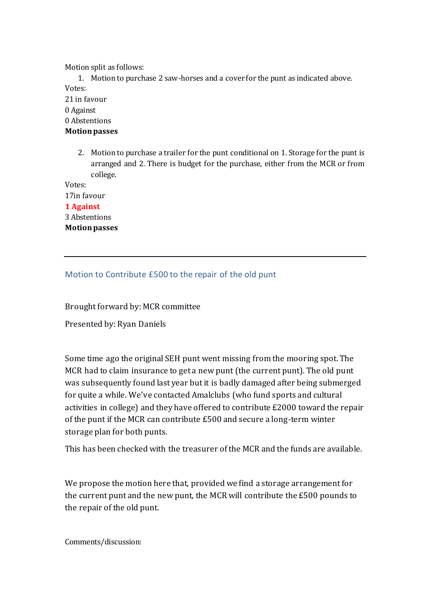Motion split as follows:

1. Motion to purchase 2 saw-horses and a cover for the punt as indicated above. Votes:

21 in favour 0 Against 0 Abstentions

**Motion passes**

2. Motion to purchase a trailer for the punt conditional on 1. Storage for the punt is arranged and 2. There is budget for the purchase, either from the MCR or from college.

Votes: 17in favour **1 Against** 3 Abstentions

**Motion passes**

# <span id="page-6-0"></span>Motion to Contribute £500 to the repair of the old punt

Brought forward by: MCR committee

Presented by: Ryan Daniels

Some time ago the original SEH punt went missing from the mooring spot. The MCR had to claim insurance to get a new punt (the current punt). The old punt was subsequently found last year but it is badly damaged after being submerged for quite a while. We've contacted Amalclubs (who fund sports and cultural activities in college) and they have offered to contribute £2000 toward the repair of the punt if the MCR can contribute £500 and secure a long-term winter storage plan for both punts.

This has been checked with the treasurer of the MCR and the funds are available.

We propose the motion here that, provided we find a storage arrangement for the current punt and the new punt, the MCR will contribute the £500 pounds to the repair of the old punt.

Comments/discussion: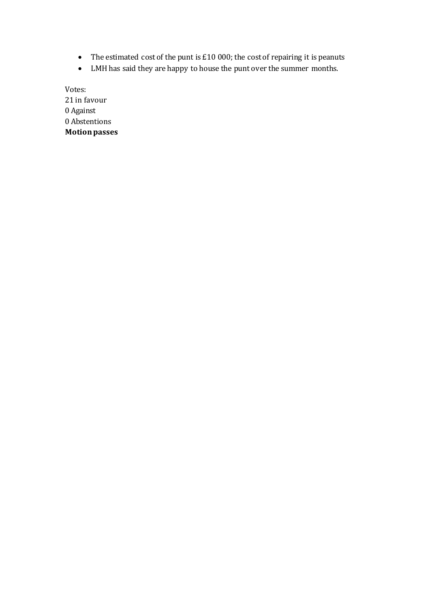- The estimated cost of the punt is  $£10000$ ; the cost of repairing it is peanuts
- LMH has said they are happy to house the punt over the summer months.

Votes: 21 in favour 0 Against 0 Abstentions **Motion passes**